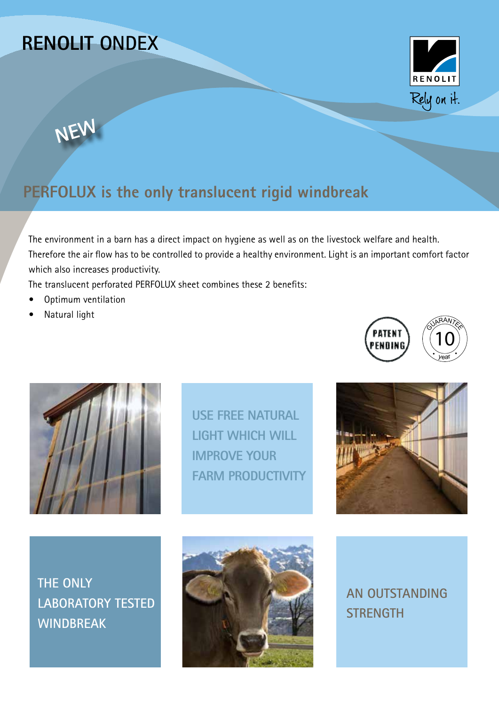# **RENOLIT ONDEX**





## **PERFOLUX is the only translucent rigid windbreak**

The environment in a barn has a direct impact on hygiene as well as on the livestock welfare and health. Therefore the air flow has to be controlled to provide a healthy environment. Light is an important comfort factor which also increases productivity.

The translucent perforated PERFOLUX sheet combines these 2 benefits:

- **•** Optimum ventilation
- **•** Natural light





**USE FREE NATURAL LIGHT WHICH WILL IMPROVE YOUR FARM PRODUCTIVITY**



**THE ONLY LABORATORY TESTED WINDBREAK**



**AN OUTSTANDING STRENGTH**